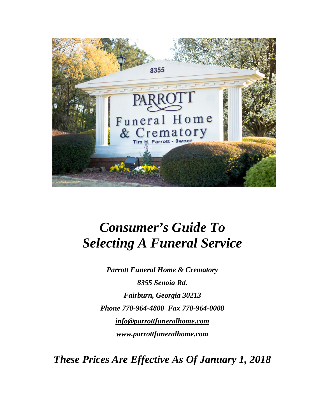

# *Consumer's Guide To Selecting A Funeral Service*

*Parrott Funeral Home & Crematory 8355 Senoia Rd. Fairburn, Georgia 30213 Phone 770-964-4800 Fax 770-964-0008 [info@parrottfuneralhome.com](mailto:info@parrottfuneralhome.com) www.parrottfuneralhome.com*

*These Prices Are Effective As Of January 1, 2018*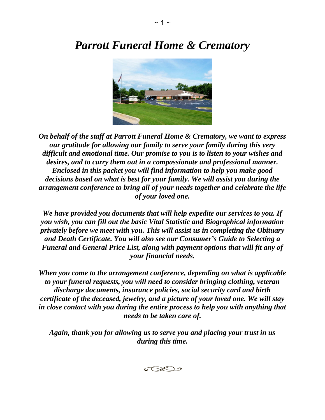# *Parrott Funeral Home & Crematory*



*On behalf of the staff at Parrott Funeral Home & Crematory, we want to express our gratitude for allowing our family to serve your family during this very difficult and emotional time. Our promise to you is to listen to your wishes and desires, and to carry them out in a compassionate and professional manner. Enclosed in this packet you will find information to help you make good decisions based on what is best for your family. We will assist you during the arrangement conference to bring all of your needs together and celebrate the life of your loved one.*

*We have provided you documents that will help expedite our services to you. If you wish, you can fill out the basic Vital Statistic and Biographical information privately before we meet with you. This will assist us in completing the Obituary and Death Certificate. You will also see our Consumer's Guide to Selecting a Funeral and General Price List, along with payment options that will fit any of your financial needs.* 

*When you come to the arrangement conference, depending on what is applicable to your funeral requests, you will need to consider bringing clothing, veteran discharge documents, insurance policies, social security card and birth certificate of the deceased, jewelry, and a picture of your loved one. We will stay in close contact with you during the entire process to help you with anything that needs to be taken care of.*

*Again, thank you for allowing us to serve you and placing your trust in us during this time.*

 $\bigcirc\otimes$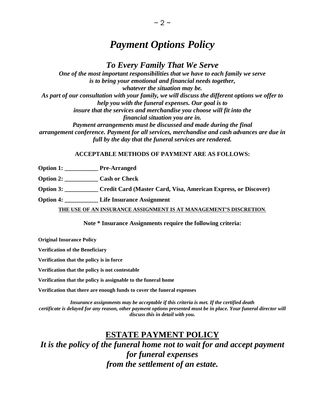## *Payment Options Policy*

### *To Every Family That We Serve*

*One of the most important responsibilities that we have to each family we serve is to bring your emotional and financial needs together, whatever the situation may be. As part of our consultation with your family, we will discuss the different options we offer to help you with the funeral expenses. Our goal is to insure that the services and merchandise you choose will fit into the financial situation you are in. Payment arrangements must be discussed and made during the final arrangement conference. Payment for all services, merchandise and cash advances are due in full by the day that the funeral services are rendered.*

#### **ACCEPTABLE METHODS OF PAYMENT ARE AS FOLLOWS:**

**Option 1: \_\_\_\_\_\_\_\_\_\_\_ Pre-Arranged** 

**Option 2: Cash or Check** 

**Option 3: \_\_\_\_\_\_\_\_\_\_\_ Credit Card (Master Card, Visa, American Express, or Discover)** 

**Option 4: \_\_\_\_\_\_\_\_\_\_\_ Life Insurance Assignment** 

**THE USE OF AN INSURANCE ASSIGNMENT IS AT MANAGEMENT'S DISCRETION***.*

**Note \* Insurance Assignments require the following criteria:**

**Original Insurance Policy**

**Verification of the Beneficiary** 

**Verification that the policy is in force** 

**Verification that the policy is not contestable** 

**Verification that the policy is assignable to the funeral home** 

**Verification that there are enough funds to cover the funeral expenses** 

*Insurance assignments may be acceptable if this criteria is met. If the certified death certificate is delayed for any reason, other payment options presented must be in place. Your funeral director will discuss this in detail with you.*

### **ESTATE PAYMENT POLICY**

*It is the policy of the funeral home not to wait for and accept payment for funeral expenses from the settlement of an estate.*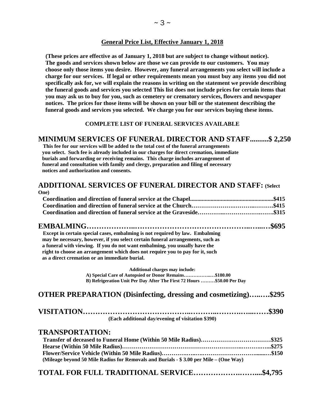#### **General Price List, Effective January 1, 2018**

 **(These prices are effective as of January 1, 2018 but are subject to change without notice). The goods and services shown below are those we can provide to our customers. You may choose only those items you desire. However, any funeral arrangements you select will include a charge for our services. If legal or other requirements mean you must buy any items you did not specifically ask for, we will explain the reasons in writing on the statement we provide describing the funeral goods and services you selected This list does not include prices for certain items that you may ask us to buy for you, such as cemetery or crematory services, flowers and newspaper notices. The prices for those items will be shown on your bill or the statement describing the funeral goods and services you selected. We charge you for our services buying these items.**

#### **COMPLETE LIST OF FUNERAL SERVICES AVAILABLE**

# **MINIMUM SERVICES OF FUNERAL DIRECTOR AND STAFF..........\$ 2,250 This fee for our services will be added to the total cost of the funeral arrangements**

 **you select. Such fee is already included in our charges for direct cremation, immediate burials and forwarding or receiving remains. This charge includes arrangement of funeral and consultation with family and clergy, preparation and filing of necessary notices and authorization and consents.**

#### **ADDITIONAL SERVICES OF FUNERAL DIRECTOR AND STAFF: (Select One)**

| <b>Except in certain special cases, embalming is not required by law. Embalming</b> |  |
|-------------------------------------------------------------------------------------|--|
| may be necessary, however, if you select certain funeral arrangements, such as      |  |
| a funeral with viewing. If you do not want embalming, you usually have the          |  |
| right to choose an arrangement which does not require you to pay for it, such       |  |
| as a direct cremation or an immediate burial.                                       |  |
|                                                                                     |  |

**Additional charges may include: A) Special Care of Autopsied or Donor Remains……………..…\$180.00 B) Refrigeration Unit Per Day After The First 72 Hours ………\$50.00 Per Day**

#### **OTHER PREPARATION (Disinfecting, dressing and cosmetizing)…..….\$295**

| (Each additional day/evening of visitation \$390) |  |
|---------------------------------------------------|--|

#### **TRANSPORTATION:**

| (Mileage beyond 50 Mile Radius for Removals and Burials $-$ \$ 3.00 per Mile – (One Way) |  |
|------------------------------------------------------------------------------------------|--|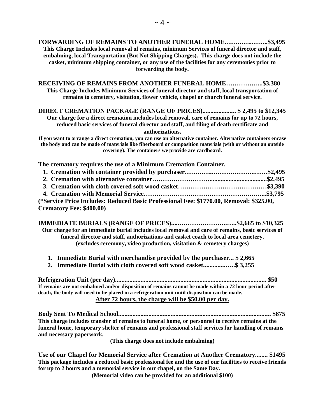**RECEIVING OF REMAINS FROM ANOTHER FUNERAL HOME……………...\$3,380 This Charge Includes Minimum Services of funeral director and staff, local transportation of remains to cemetery, visitation, flower vehicle, chapel or church funeral service.**

**DIRECT CREMATION PACKAGE (RANGE OF PRICES)..................... \$ 2,495 to \$12,345 Our charge for a direct cremation includes local removal, care of remains for up to 72 hours, reduced basic services of funeral director and staff, and filing of death certificate and authorizations.**

**If you want to arrange a direct cremation, you can use an alternative container. Alternative containers encase the body and can be made of materials like fiberboard or composition materials (with or without an outside covering). The containers we provide are cardboard.**

**The crematory requires the use of a Minimum Cremation Container.** 

| (*Service Price Includes: Reduced Basic Professional Fee: \$1770.00, Removal: \$325.00, |  |
|-----------------------------------------------------------------------------------------|--|
| <b>Crematory Fee: \$400.00)</b>                                                         |  |

**IMMEDIATE BURIALS (RANGE OF PRICES).....…………………..…..\$2,665 to \$10,325 Our charge for an immediate burial includes local removal and care of remains, basic services of funeral director and staff, authorizations and casket coach to local area cemetery. (excludes ceremony, video production, visitation & cemetery charges)**

- **1. Immediate Burial with merchandise provided by the purchaser... \$ 2,665**
- **2. Immediate Burial with cloth covered soft wood casket..............…..\$ 3,255**

**Refrigeration Unit (per day)............................................................................................... \$50 If remains are not embalmed and/or disposition of remains cannot be made within a 72 hour period after death, the body will need to be placed in a refrigeration unit until disposition can be made. After 72 hours, the charge will be \$50.00 per day.**

**Body Sent To Medical School................................................................................................ \$875 This charge includes transfer of remains to funeral home, or personnel to receive remains at the funeral home, temporary shelter of remains and professional staff services for handling of remains and necessary paperwork.** 

**(This charge does not include embalming)**

**Use of our Chapel for Memorial Service after Cremation at Another Crematory........ \$1495 This package includes a reduced basic professional fee and the use of our facilities to receive friends for up to 2 hours and a memorial service in our chapel, on the Same Day.** 

**(Memorial video can be provided for an additional \$100)**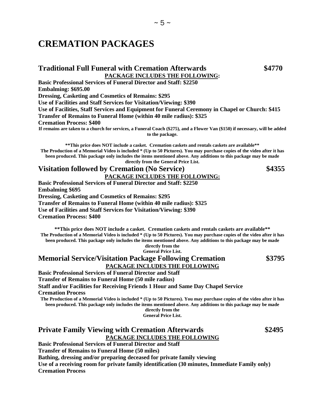## **CREMATION PACKAGES**

#### **Traditional Full Funeral with Cremation Afterwards \$4770 PACKAGE INCLUDES THE FOLLOWING:**

**Basic Professional Services of Funeral Director and Staff: \$2250 Embalming: \$695.00 Dressing, Casketing and Cosmetics of Remains: \$295 Use of Facilities and Staff Services for Visitation/Viewing: \$390 Use of Facilities, Staff Services and Equipment for Funeral Ceremony in Chapel or Church: \$415 Transfer of Remains to Funeral Home (within 40 mile radius): \$325 Cremation Process: \$400 If remains are taken to a church for services, a Funeral Coach (\$275), and a Flower Van (\$150) if necessary, will be added** 

**to the package.**

**\*\*This price does NOT include a casket. Cremation caskets and rentals caskets are available\*\* The Production of a Memorial Video is included \* (Up to 50 Pictures). You may purchase copies of the video after it has been produced. This package only includes the items mentioned above. Any additions to this package may be made directly from the General Price List.** 

#### **Visitation followed by Cremation (No Service) \$4355 PACKAGE INCLUDES THE FOLLOWING:**

**Basic Professional Services of Funeral Director and Staff: \$2250 Embalming \$695 Dressing, Casketing and Cosmetics of Remains: \$295 Transfer of Remains to Funeral Home (within 40 mile radius): \$325 Use of Facilities and Staff Services for Visitation/Viewing: \$390 Cremation Process: \$400** 

**\*\*This price does NOT include a casket. Cremation caskets and rentals caskets are available\*\* The Production of a Memorial Video is included \* (Up to 50 Pictures). You may purchase copies of the video after it has been produced. This package only includes the items mentioned above. Any additions to this package may be made directly from the General Price List.** 

**Memorial Service/Visitation Package Following Cremation \$3795 PACKAGE INCLUDES THE FOLLOWING**

**Basic Professional Services of Funeral Director and Staff Transfer of Remains to Funeral Home (50 mile radius) Staff and/or Facilities for Receiving Friends 1 Hour and Same Day Chapel Service Cremation Process**

**The Production of a Memorial Video is included \* (Up to 50 Pictures). You may purchase copies of the video after it has been produced. This package only includes the items mentioned above. Any additions to this package may be made directly from the**

**General Price List.** 

### **Private Family Viewing with Cremation Afterwards \$2495 PACKAGE INCLUDES THE FOLLOWING**

**Basic Professional Services of Funeral Director and Staff Transfer of Remains to Funeral Home (50 miles) Bathing, dressing and/or preparing deceased for private family viewing Use of a receiving room for private family identification (30 minutes, Immediate Family only) Cremation Process**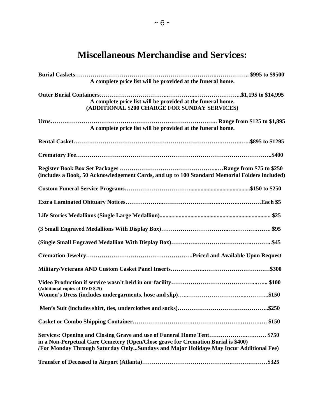# **Miscellaneous Merchandise and Services:**

| A complete price list will be provided at the funeral home.                                                                                                                                                                                          |
|------------------------------------------------------------------------------------------------------------------------------------------------------------------------------------------------------------------------------------------------------|
| A complete price list will be provided at the funeral home.<br>(ADDITIONAL \$200 CHARGE FOR SUNDAY SERVICES)                                                                                                                                         |
| A complete price list will be provided at the funeral home.                                                                                                                                                                                          |
|                                                                                                                                                                                                                                                      |
|                                                                                                                                                                                                                                                      |
| (includes a Book, 50 Acknowledgement Cards, and up to 100 Standard Memorial Folders included)                                                                                                                                                        |
|                                                                                                                                                                                                                                                      |
|                                                                                                                                                                                                                                                      |
|                                                                                                                                                                                                                                                      |
|                                                                                                                                                                                                                                                      |
|                                                                                                                                                                                                                                                      |
|                                                                                                                                                                                                                                                      |
|                                                                                                                                                                                                                                                      |
| (Additional copies of DVD \$25)                                                                                                                                                                                                                      |
|                                                                                                                                                                                                                                                      |
|                                                                                                                                                                                                                                                      |
| Services: Opening and Closing Grave and use of Funeral Home Tent \$750<br>in a Non-Perpetual Care Cemetery (Open/Close grave for Cremation Burial is \$400)<br>(For Monday Through Saturday OnlySundays and Major Holidays May Incur Additional Fee) |
| \$325                                                                                                                                                                                                                                                |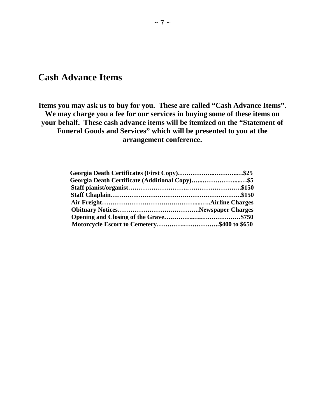## **Cash Advance Items**

**Items you may ask us to buy for you. These are called "Cash Advance Items". We may charge you a fee for our services in buying some of these items on your behalf. These cash advance items will be itemized on the "Statement of Funeral Goods and Services" which will be presented to you at the arrangement conference.**

| Georgia Death Certificates (First Copy)\$25    |  |
|------------------------------------------------|--|
| Georgia Death Certificate (Additional Copy)\$5 |  |
|                                                |  |
|                                                |  |
|                                                |  |
|                                                |  |
|                                                |  |
| Motorcycle Escort to Cemetery\$400 to \$650    |  |